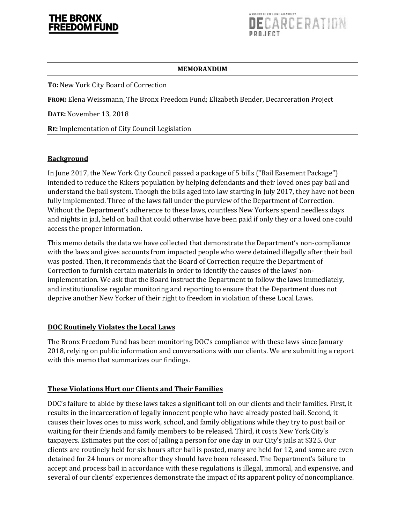

#### **MEMORANDUM**

**TO:** New York City Board of Correction

**FROM:** Elena Weissmann, The Bronx Freedom Fund; Elizabeth Bender, Decarceration Project

**DATE:** November 13, 2018

**RE:** Implementation of City Council Legislation

### **Background**

In June 2017, the New York City Council passed a package of 5 bills ("Bail Easement Package") intended to reduce the Rikers population by helping defendants and their loved ones pay bail and understand the bail system. Though the bills aged into law starting in July 2017, they have not been fully implemented. Three of the laws fall under the purview of the Department of Correction. Without the Department's adherence to these laws, countless New Yorkers spend needless days and nights in jail, held on bail that could otherwise have been paid if only they or a loved one could access the proper information.

This memo details the data we have collected that demonstrate the Department's non-compliance with the laws and gives accounts from impacted people who were detained illegally after their bail was posted. Then, it recommends that the Board of Correction require the Department of Correction to furnish certain materials in order to identify the causes of the laws' nonimplementation. We ask that the Board instruct the Department to follow the laws immediately, and institutionalize regular monitoring and reporting to ensure that the Department does not deprive another New Yorker of their right to freedom in violation of these Local Laws.

### **DOC Routinely Violates the Local Laws**

The Bronx Freedom Fund has been monitoring DOC's compliance with these laws since January 2018, relying on public information and conversations with our clients. We are submitting a report with this memo that summarizes our findings.

### **These Violations Hurt our Clients and Their Families**

DOC's failure to abide by these laws takes a significant toll on our clients and their families. First, it results in the incarceration of legally innocent people who have already posted bail. Second, it causes their loves ones to miss work, school, and family obligations while they try to post bail or waiting for their friends and family members to be released. Third, it costs New York City's taxpayers. Estimates put the cost of jailing a person for one day in our City's jails at \$325. Our clients are routinely held for six hours after bail is posted, many are held for 12, and some are even detained for 24 hours or more after they should have been released. The Department's failure to accept and process bail in accordance with these regulations is illegal, immoral, and expensive, and several of our clients' experiences demonstrate the impact of its apparent policy of noncompliance.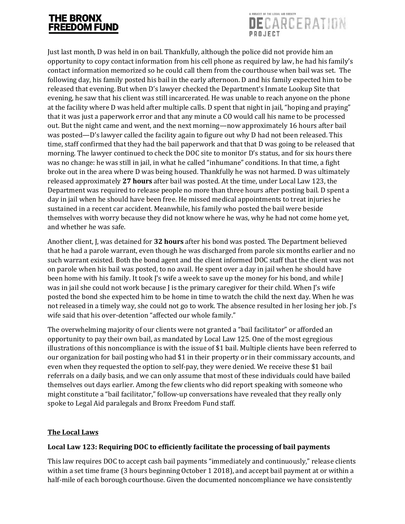

Just last month, D was held in on bail. Thankfully, although the police did not provide him an opportunity to copy contact information from his cell phone as required by law, he had his family's contact information memorized so he could call them from the courthouse when bail was set. The following day, his family posted his bail in the early afternoon. D and his family expected him to be released that evening. But when D's lawyer checked the Department's Inmate Lookup Site that evening, he saw that his client was still incarcerated. He was unable to reach anyone on the phone at the facility where D was held after multiple calls. D spent that night in jail, "hoping and praying" that it was just a paperwork error and that any minute a CO would call his name to be processed out. But the night came and went, and the next morning—now approximately 16 hours after bail was posted—D's lawyer called the facility again to figure out why D had not been released. This time, staff confirmed that they had the bail paperwork and that that D was going to be released that morning. The lawyer continued to check the DOC site to monitor D's status, and for six hours there was no change: he was still in jail, in what he called "inhumane" conditions. In that time, a fight broke out in the area where D was being housed. Thankfully he was not harmed. D was ultimately released approximately **27 hours** after bail was posted. At the time, under Local Law 123, the Department was required to release people no more than three hours after posting bail. D spent a day in jail when he should have been free. He missed medical appointments to treat injuries he sustained in a recent car accident. Meanwhile, his family who posted the bail were beside themselves with worry because they did not know where he was, why he had not come home yet, and whether he was safe.

Another client, J, was detained for **32 hours** after his bond was posted. The Department believed that he had a parole warrant, even though he was discharged from parole six months earlier and no such warrant existed. Both the bond agent and the client informed DOC staff that the client was not on parole when his bail was posted, to no avail. He spent over a day in jail when he should have been home with his family. It took J's wife a week to save up the money for his bond, and while J was in jail she could not work because J is the primary caregiver for their child. When J's wife posted the bond she expected him to be home in time to watch the child the next day. When he was not released in a timely way, she could not go to work. The absence resulted in her losing her job. J's wife said that his over-detention "affected our whole family."

The overwhelming majority of our clients were not granted a "bail facilitator" or afforded an opportunity to pay their own bail, as mandated by Local Law 125. One of the most egregious illustrations of this noncompliance is with the issue of \$1 bail. Multiple clients have been referred to our organization for bail posting who had \$1 in their property or in their commissary accounts, and even when they requested the option to self-pay, they were denied. We receive these \$1 bail referrals on a daily basis, and we can only assume that most of these individuals could have bailed themselves out days earlier. Among the few clients who did report speaking with someone who might constitute a "bail facilitator," follow-up conversations have revealed that they really only spoke to Legal Aid paralegals and Bronx Freedom Fund staff.

### **The Local Laws**

## **Local Law 123: Requiring DOC to efficiently facilitate the processing of bail payments**

This law requires DOC to accept cash bail payments "immediately and continuously," release clients within a set time frame (3 hours beginning October 1 2018), and accept bail payment at or within a half-mile of each borough courthouse. Given the documented noncompliance we have consistently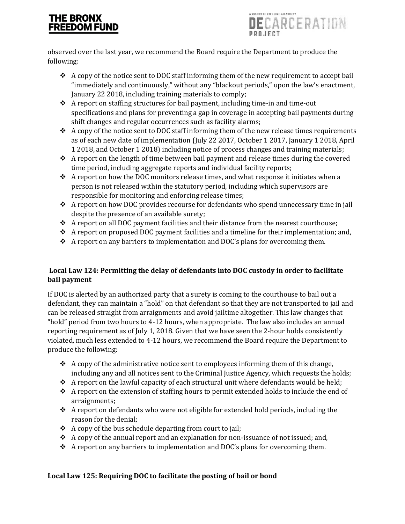

observed over the last year, we recommend the Board require the Department to produce the following:

- A copy of the notice sent to DOC staff informing them of the new requirement to accept bail "immediately and continuously," without any "blackout periods," upon the law's enactment, January 22 2018, including training materials to comply;
- A report on staffing structures for bail payment, including time-in and time-out specifications and plans for preventing a gap in coverage in accepting bail payments during shift changes and regular occurrences such as facility alarms;
- $\triangle$  A copy of the notice sent to DOC staff informing them of the new release times requirements as of each new date of implementation (July 22 2017, October 1 2017, January 1 2018, April 1 2018, and October 1 2018) including notice of process changes and training materials;
- $\triangle$  A report on the length of time between bail payment and release times during the covered time period, including aggregate reports and individual facility reports;
- $\triangle$  A report on how the DOC monitors release times, and what response it initiates when a person is not released within the statutory period, including which supervisors are responsible for monitoring and enforcing release times;
- A report on how DOC provides recourse for defendants who spend unnecessary time in jail despite the presence of an available surety;
- \* A report on all DOC payment facilities and their distance from the nearest courthouse;
- $\triangle$  A report on proposed DOC payment facilities and a timeline for their implementation; and,
- $\triangle$  A report on any barriers to implementation and DOC's plans for overcoming them.

## **Local Law 124: Permitting the delay of defendants into DOC custody in order to facilitate bail payment**

If DOC is alerted by an authorized party that a surety is coming to the courthouse to bail out a defendant, they can maintain a "hold" on that defendant so that they are not transported to jail and can be released straight from arraignments and avoid jailtime altogether. This law changes that "hold" period from two hours to 4-12 hours, when appropriate. The law also includes an annual reporting requirement as of July 1, 2018. Given that we have seen the 2-hour holds consistently violated, much less extended to 4-12 hours, we recommend the Board require the Department to produce the following:

- $\triangleleft$  A copy of the administrative notice sent to employees informing them of this change, including any and all notices sent to the Criminal Justice Agency, which requests the holds;
- $\triangle$  A report on the lawful capacity of each structural unit where defendants would be held;
- $\triangle$  A report on the extension of staffing hours to permit extended holds to include the end of arraignments;
- $\triangle$  A report on defendants who were not eligible for extended hold periods, including the reason for the denial;
- $\triangle$  A copy of the bus schedule departing from court to jail;
- $\triangle$  A copy of the annual report and an explanation for non-issuance of not issued; and,
- $\triangle$  A report on any barriers to implementation and DOC's plans for overcoming them.

## **Local Law 125: Requiring DOC to facilitate the posting of bail or bond**